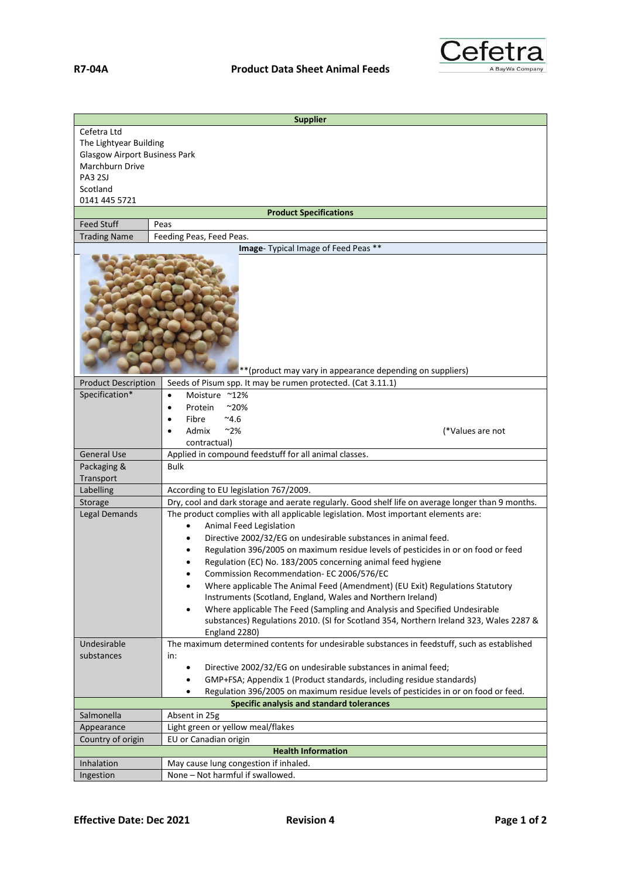

| <b>Supplier</b>                                           |                                                                                                               |  |
|-----------------------------------------------------------|---------------------------------------------------------------------------------------------------------------|--|
| Cefetra Ltd                                               |                                                                                                               |  |
| The Lightyear Building                                    |                                                                                                               |  |
| <b>Glasgow Airport Business Park</b>                      |                                                                                                               |  |
| Marchburn Drive                                           |                                                                                                               |  |
| <b>PA3 2SJ</b>                                            |                                                                                                               |  |
| Scotland<br>0141 445 5721                                 |                                                                                                               |  |
| <b>Product Specifications</b>                             |                                                                                                               |  |
| <b>Feed Stuff</b>                                         | Peas                                                                                                          |  |
| <b>Trading Name</b>                                       | Feeding Peas, Feed Peas.                                                                                      |  |
|                                                           | Image- Typical Image of Feed Peas **                                                                          |  |
| **(product may vary in appearance depending on suppliers) |                                                                                                               |  |
| <b>Product Description</b>                                | Seeds of Pisum spp. It may be rumen protected. (Cat 3.11.1)                                                   |  |
| Specification*                                            | Moisture ~12%<br>$\bullet$                                                                                    |  |
|                                                           | Protein<br>$^{\sim}20\%$<br>٠                                                                                 |  |
|                                                           | $^{\sim}4.6$<br>Fibre<br>$\bullet$                                                                            |  |
|                                                           | Admix<br>~2%<br>(*Values are not                                                                              |  |
|                                                           | contractual)                                                                                                  |  |
| <b>General Use</b><br>Packaging &                         | Applied in compound feedstuff for all animal classes.<br>Bulk                                                 |  |
| Transport                                                 |                                                                                                               |  |
| Labelling                                                 | According to EU legislation 767/2009.                                                                         |  |
| Storage                                                   | Dry, cool and dark storage and aerate regularly. Good shelf life on average longer than 9 months.             |  |
| <b>Legal Demands</b>                                      | The product complies with all applicable legislation. Most important elements are:                            |  |
|                                                           | <b>Animal Feed Legislation</b>                                                                                |  |
|                                                           | Directive 2002/32/EG on undesirable substances in animal feed.                                                |  |
|                                                           | Regulation 396/2005 on maximum residue levels of pesticides in or on food or feed                             |  |
|                                                           | Regulation (EC) No. 183/2005 concerning animal feed hygiene                                                   |  |
|                                                           | Commission Recommendation- EC 2006/576/EC                                                                     |  |
|                                                           | Where applicable The Animal Feed (Amendment) (EU Exit) Regulations Statutory<br>$\bullet$                     |  |
|                                                           | Instruments (Scotland, England, Wales and Northern Ireland)                                                   |  |
|                                                           | Where applicable The Feed (Sampling and Analysis and Specified Undesirable<br>٠                               |  |
|                                                           | substances) Regulations 2010. (SI for Scotland 354, Northern Ireland 323, Wales 2287 &                        |  |
| Undesirable                                               | England 2280)<br>The maximum determined contents for undesirable substances in feedstuff, such as established |  |
| substances                                                | in:                                                                                                           |  |
|                                                           | Directive 2002/32/EG on undesirable substances in animal feed;<br>٠                                           |  |
|                                                           | GMP+FSA; Appendix 1 (Product standards, including residue standards)                                          |  |
|                                                           | Regulation 396/2005 on maximum residue levels of pesticides in or on food or feed.                            |  |
|                                                           | Specific analysis and standard tolerances                                                                     |  |
| Salmonella                                                | Absent in 25g                                                                                                 |  |
| Appearance                                                | Light green or yellow meal/flakes                                                                             |  |
| Country of origin                                         | EU or Canadian origin                                                                                         |  |
|                                                           | <b>Health Information</b>                                                                                     |  |
| Inhalation                                                | May cause lung congestion if inhaled.                                                                         |  |
| Ingestion                                                 | None - Not harmful if swallowed.                                                                              |  |